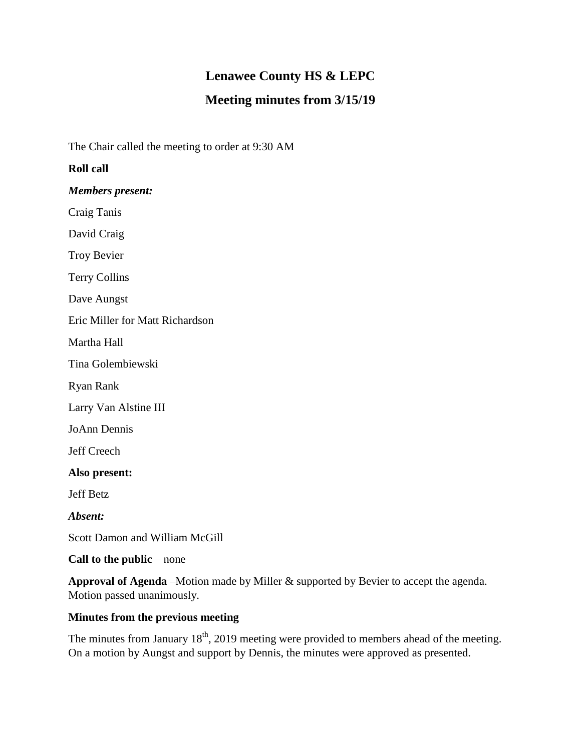# **Lenawee County HS & LEPC**

## **Meeting minutes from 3/15/19**

The Chair called the meeting to order at 9:30 AM

#### **Roll call**

*Members present:*

Craig Tanis

David Craig

Troy Bevier

Terry Collins

Dave Aungst

Eric Miller for Matt Richardson

Martha Hall

Tina Golembiewski

Ryan Rank

Larry Van Alstine III

JoAnn Dennis

Jeff Creech

**Also present:**

Jeff Betz

*Absent:*

Scott Damon and William McGill

**Call to the public** – none

**Approval of Agenda** –Motion made by Miller & supported by Bevier to accept the agenda. Motion passed unanimously.

#### **Minutes from the previous meeting**

The minutes from January  $18<sup>th</sup>$ , 2019 meeting were provided to members ahead of the meeting. On a motion by Aungst and support by Dennis, the minutes were approved as presented.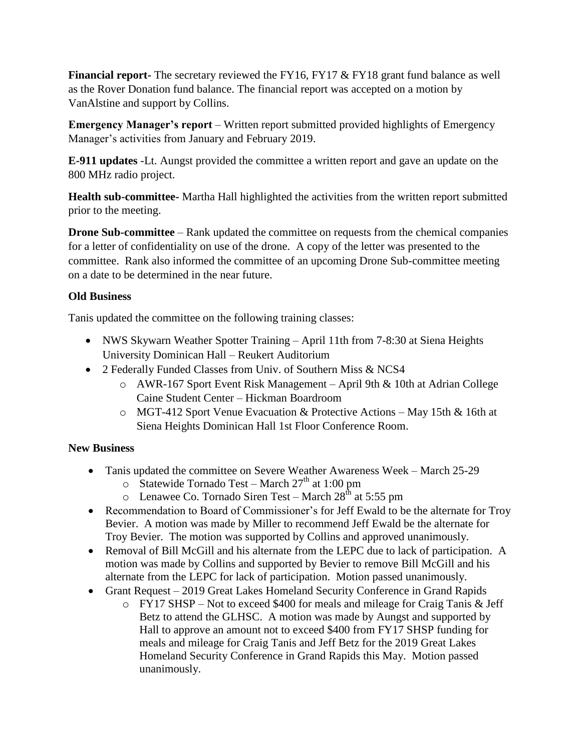**Financial report-** The secretary reviewed the FY16, FY17 & FY18 grant fund balance as well as the Rover Donation fund balance. The financial report was accepted on a motion by VanAlstine and support by Collins.

**Emergency Manager's report** – Written report submitted provided highlights of Emergency Manager's activities from January and February 2019.

**E-911 updates** -Lt. Aungst provided the committee a written report and gave an update on the 800 MHz radio project.

**Health sub-committee-** Martha Hall highlighted the activities from the written report submitted prior to the meeting.

**Drone Sub-committee** – Rank updated the committee on requests from the chemical companies for a letter of confidentiality on use of the drone. A copy of the letter was presented to the committee. Rank also informed the committee of an upcoming Drone Sub-committee meeting on a date to be determined in the near future.

### **Old Business**

Tanis updated the committee on the following training classes:

- NWS Skywarn Weather Spotter Training April 11th from 7-8:30 at Siena Heights University Dominican Hall – Reukert Auditorium
- 2 Federally Funded Classes from Univ. of Southern Miss & NCS4
	- o AWR-167 Sport Event Risk Management April 9th & 10th at Adrian College Caine Student Center – Hickman Boardroom
	- o MGT-412 Sport Venue Evacuation & Protective Actions May 15th & 16th at Siena Heights Dominican Hall 1st Floor Conference Room.

#### **New Business**

- Tanis updated the committee on Severe Weather Awareness Week March 25-29
	- $\degree$  Statewide Tornado Test March 27<sup>th</sup> at 1:00 pm
	- $\circ$  Lenawee Co. Tornado Siren Test March 28<sup>th</sup> at 5:55 pm
- Recommendation to Board of Commissioner's for Jeff Ewald to be the alternate for Troy Bevier. A motion was made by Miller to recommend Jeff Ewald be the alternate for Troy Bevier. The motion was supported by Collins and approved unanimously.
- Removal of Bill McGill and his alternate from the LEPC due to lack of participation. A motion was made by Collins and supported by Bevier to remove Bill McGill and his alternate from the LEPC for lack of participation. Motion passed unanimously.
- Grant Request 2019 Great Lakes Homeland Security Conference in Grand Rapids
	- o FY17 SHSP Not to exceed \$400 for meals and mileage for Craig Tanis & Jeff Betz to attend the GLHSC. A motion was made by Aungst and supported by Hall to approve an amount not to exceed \$400 from FY17 SHSP funding for meals and mileage for Craig Tanis and Jeff Betz for the 2019 Great Lakes Homeland Security Conference in Grand Rapids this May. Motion passed unanimously.